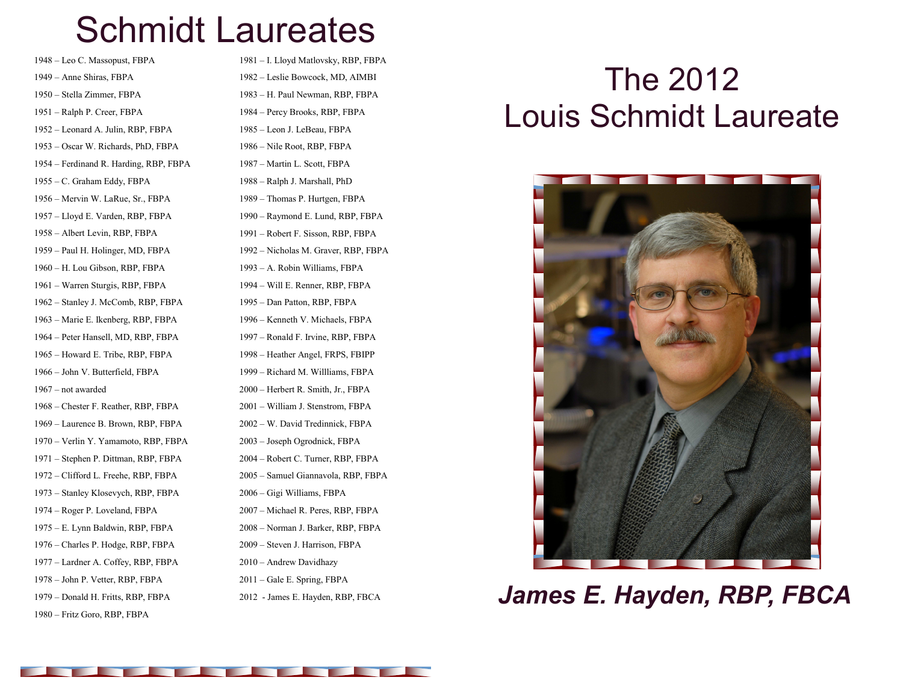## Schmidt Laureates

1948 – Leo C. Massopust, FBPA 1949 – Anne Shiras, FBPA 1950 – Stella Zimmer, FBPA 1951 – Ralph P. Creer, FBPA 1952 – Leonard A. Julin, RBP, FBPA 1953 – Oscar W. Richards, PhD, FBPA 1954 – Ferdinand R. Harding, RBP, FBPA 1955 – C. Graham Eddy, FBPA 1956 – Mervin W. LaRue, Sr., FBPA 1957 – Lloyd E. Varden, RBP, FBPA 1958 – Albert Levin, RBP, FBPA 1959 – Paul H. Holinger, MD, FBPA 1960 – H. Lou Gibson, RBP, FBPA 1961 – Warren Sturgis, RBP, FBPA 1962 – Stanley J. McComb, RBP, FBPA 1963 – Marie E. Ikenberg, RBP, FBPA 1964 – Peter Hansell, MD, RBP, FBPA 1965 – Howard E. Tribe, RBP, FBPA 1966 – John V. Butterfield, FBPA 1967 – not awarded 1968 – Chester F. Reather, RBP, FBPA 1969 – Laurence B. Brown, RBP, FBPA 1970 – Verlin Y. Yamamoto, RBP, FBPA 1971 – Stephen P. Dittman, RBP, FBPA 1972 – Clifford L. Freehe, RBP, FBPA 1973 – Stanley Klosevych, RBP, FBPA 1974 – Roger P. Loveland, FBPA 1975 – E. Lynn Baldwin, RBP, FBPA 1976 – Charles P. Hodge, RBP, FBPA 1977 – Lardner A. Coffey, RBP, FBPA 1978 – John P. Vetter, RBP, FBPA 1979 – Donald H. Fritts, RBP, FBPA

1980 – Fritz Goro, RBP, FBPA

1981 – I. Lloyd Matlovsky, RBP, FBPA 1982 – Leslie Bowcock, MD, AIMBI 1983 – H. Paul Newman, RBP, FBPA 1984 – Percy Brooks, RBP, FBPA 1985 – Leon J. LeBeau, FBPA 1986 – Nile Root, RBP, FBPA 1987 – Martin L. Scott, FBPA 1988 – Ralph J. Marshall, PhD 1989 – Thomas P. Hurtgen, FBPA 1990 – Raymond E. Lund, RBP, FBPA 1991 – Robert F. Sisson, RBP, FBPA 1992 – Nicholas M. Graver, RBP, FBPA 1993 – A. Robin Williams, FBPA 1994 – Will E. Renner, RBP, FBPA 1995 – Dan Patton, RBP, FBPA 1996 – Kenneth V. Michaels, FBPA 1997 – Ronald F. Irvine, RBP, FBPA 1998 – Heather Angel, FRPS, FBIPP 1999 – Richard M. Willliams, FBPA 2000 – Herbert R. Smith, Jr., FBPA 2001 – William J. Stenstrom, FBPA 2002 – W. David Tredinnick, FBPA 2003 – Joseph Ogrodnick, FBPA 2004 – Robert C. Turner, RBP, FBPA 2005 – Samuel Giannavola, RBP, FBPA 2006 – Gigi Williams, FBPA 2007 – Michael R. Peres, RBP, FBPA 2008 – Norman J. Barker, RBP, FBPA 2009 – Steven J. Harrison, FBPA 2010 – Andrew Davidhazy 2011 – Gale E. Spring, FBPA

## The 2012 Louis Schmidt Laureate



2012 - James E. Hayden, RBP, FBCA *James E. Hayden, RBP, FBCA*